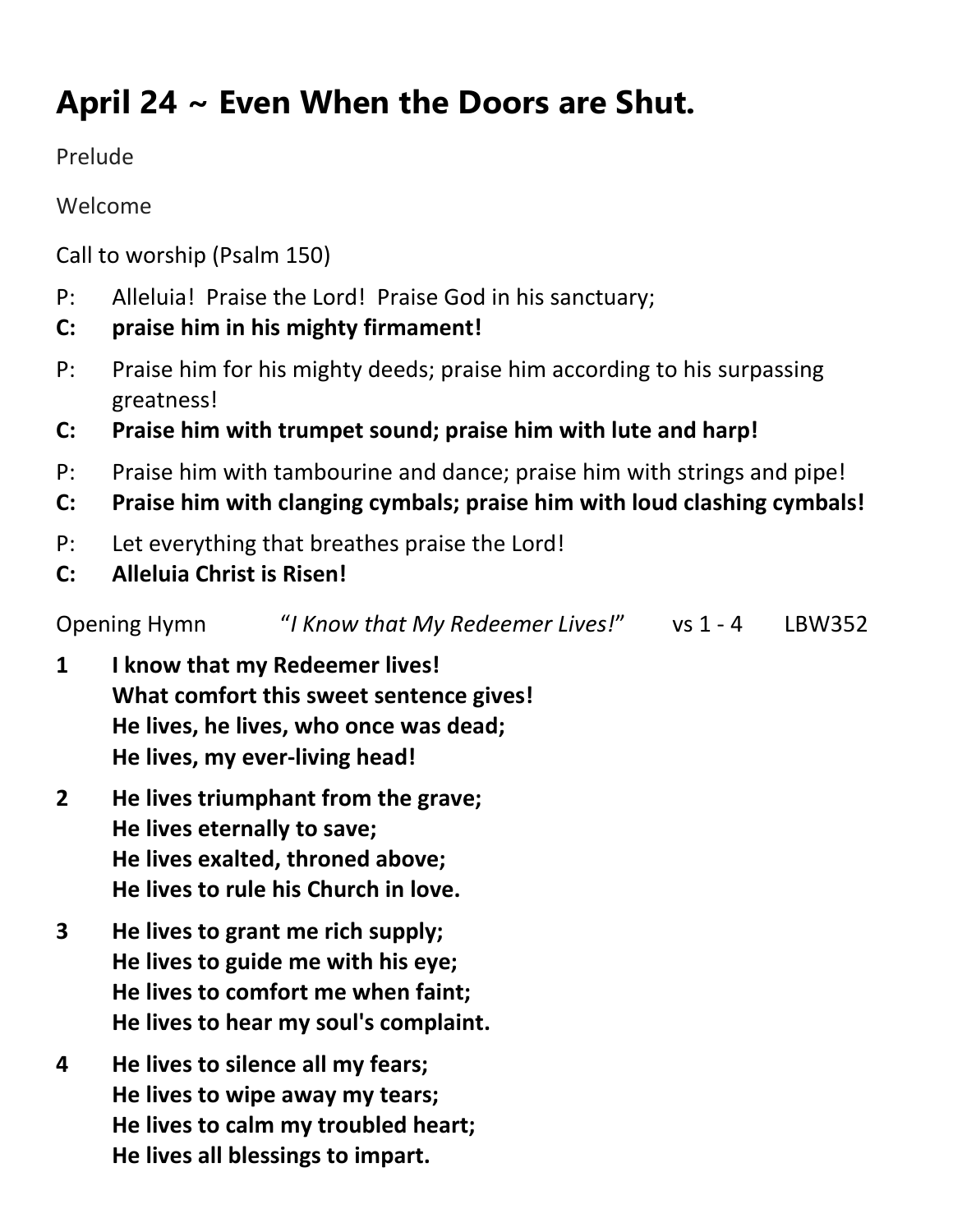# **April 24 ~ Even When the Doors are Shut.**

Prelude

Welcome

Call to worship (Psalm 150)

- P: Alleluia! Praise the Lord! Praise God in his sanctuary;
- **C: praise him in his mighty firmament!**
- P: Praise him for his mighty deeds; praise him according to his surpassing greatness!
- **C: Praise him with trumpet sound; praise him with lute and harp!**
- P: Praise him with tambourine and dance; praise him with strings and pipe!
- **C: Praise him with clanging cymbals; praise him with loud clashing cymbals!**
- P: Let everything that breathes praise the Lord!
- **C: Alleluia Christ is Risen!**

Opening Hymn "*I Know that My Redeemer Lives!*" vs 1 - 4 LBW352

- **1 I know that my Redeemer lives! What comfort this sweet sentence gives! He lives, he lives, who once was dead; He lives, my ever-living head!**
- **2 He lives triumphant from the grave; He lives eternally to save; He lives exalted, throned above; He lives to rule his Church in love.**
- **3 He lives to grant me rich supply; He lives to guide me with his eye; He lives to comfort me when faint; He lives to hear my soul's complaint.**
- **4 He lives to silence all my fears; He lives to wipe away my tears; He lives to calm my troubled heart; He lives all blessings to impart.**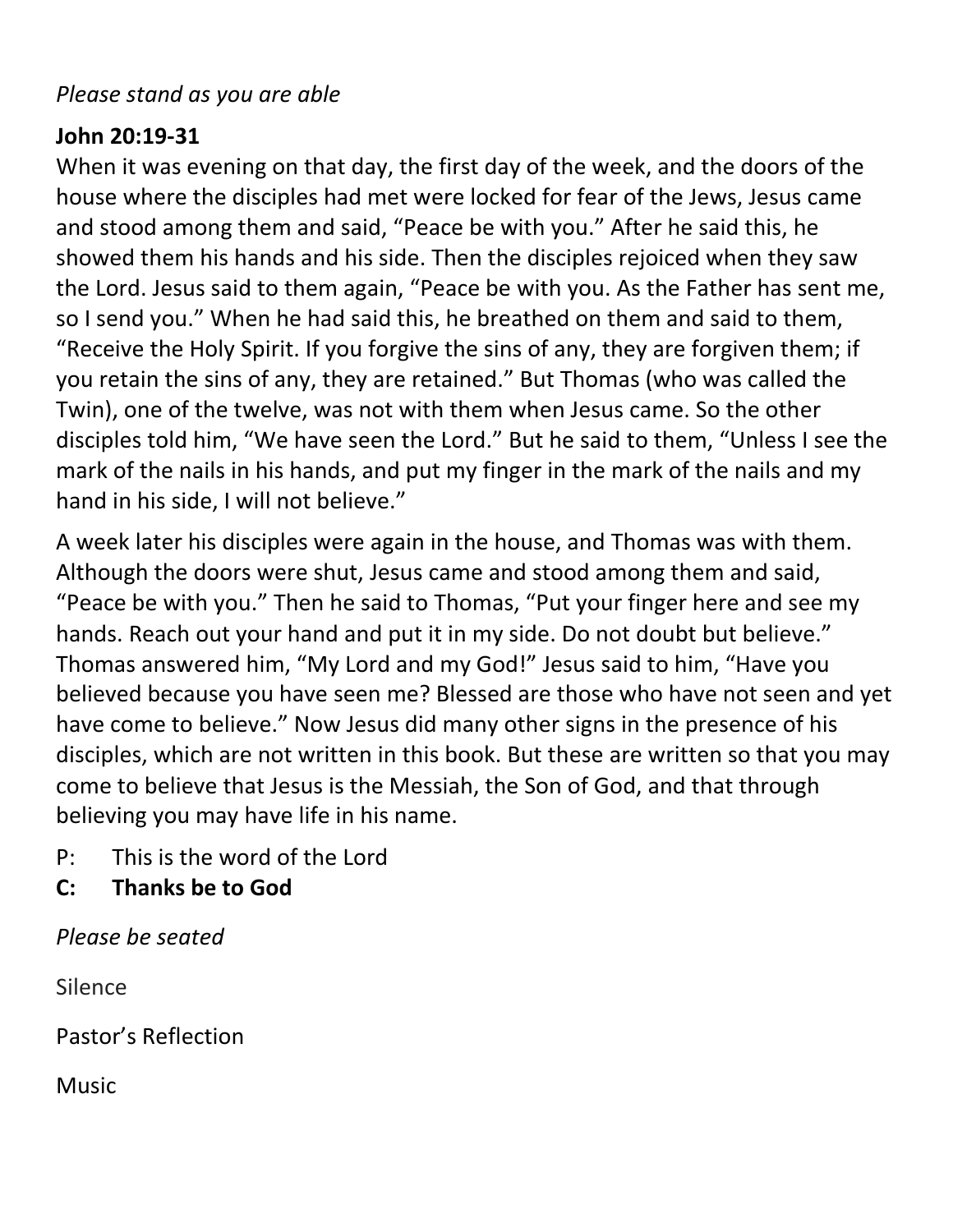#### *Please stand as you are able*

### **John 20:19-31**

When it was evening on that day, the first day of the week, and the doors of the house where the disciples had met were locked for fear of the Jews, Jesus came and stood among them and said, "Peace be with you." After he said this, he showed them his hands and his side. Then the disciples rejoiced when they saw the Lord. Jesus said to them again, "Peace be with you. As the Father has sent me, so I send you." When he had said this, he breathed on them and said to them, "Receive the Holy Spirit. If you forgive the sins of any, they are forgiven them; if you retain the sins of any, they are retained." But Thomas (who was called the Twin), one of the twelve, was not with them when Jesus came. So the other disciples told him, "We have seen the Lord." But he said to them, "Unless I see the mark of the nails in his hands, and put my finger in the mark of the nails and my hand in his side, I will not believe."

A week later his disciples were again in the house, and Thomas was with them. Although the doors were shut, Jesus came and stood among them and said, "Peace be with you." Then he said to Thomas, "Put your finger here and see my hands. Reach out your hand and put it in my side. Do not doubt but believe." Thomas answered him, "My Lord and my God!" Jesus said to him, "Have you believed because you have seen me? Blessed are those who have not seen and yet have come to believe." Now Jesus did many other signs in the presence of his disciples, which are not written in this book. But these are written so that you may come to believe that Jesus is the Messiah, the Son of God, and that through believing you may have life in his name.

- P: This is the word of the Lord
- **C: Thanks be to God**

*Please be seated*

Silence

Pastor's Reflection

**Music**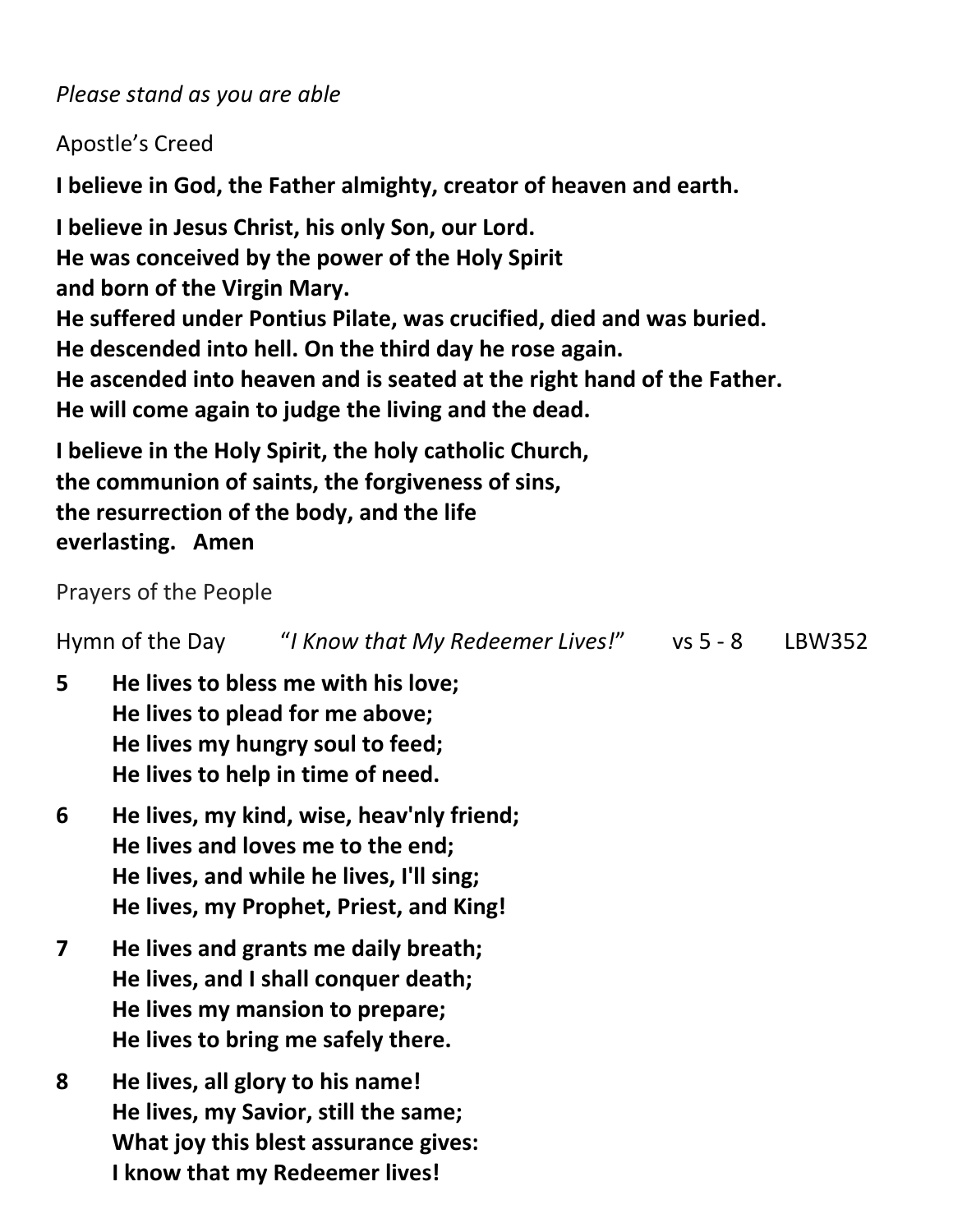*Please stand as you are able*

Apostle's Creed

**I believe in God, the Father almighty, creator of heaven and earth.**

**I believe in Jesus Christ, his only Son, our Lord. He was conceived by the power of the Holy Spirit and born of the Virgin Mary. He suffered under Pontius Pilate, was crucified, died and was buried. He descended into hell. On the third day he rose again. He ascended into heaven and is seated at the right hand of the Father. He will come again to judge the living and the dead.**

**I believe in the Holy Spirit, the holy catholic Church, the communion of saints, the forgiveness of sins, the resurrection of the body, and the life everlasting. Amen**

Prayers of the People

Hymn of the Day "*I Know that My Redeemer Lives!*" vs 5 - 8 LBW352

- **5 He lives to bless me with his love; He lives to plead for me above; He lives my hungry soul to feed; He lives to help in time of need.**
- **6 He lives, my kind, wise, heav'nly friend; He lives and loves me to the end; He lives, and while he lives, I'll sing; He lives, my Prophet, Priest, and King!**
- **7 He lives and grants me daily breath; He lives, and I shall conquer death; He lives my mansion to prepare; He lives to bring me safely there.**
- **8 He lives, all glory to his name! He lives, my Savior, still the same; What joy this blest assurance gives: I know that my Redeemer lives!**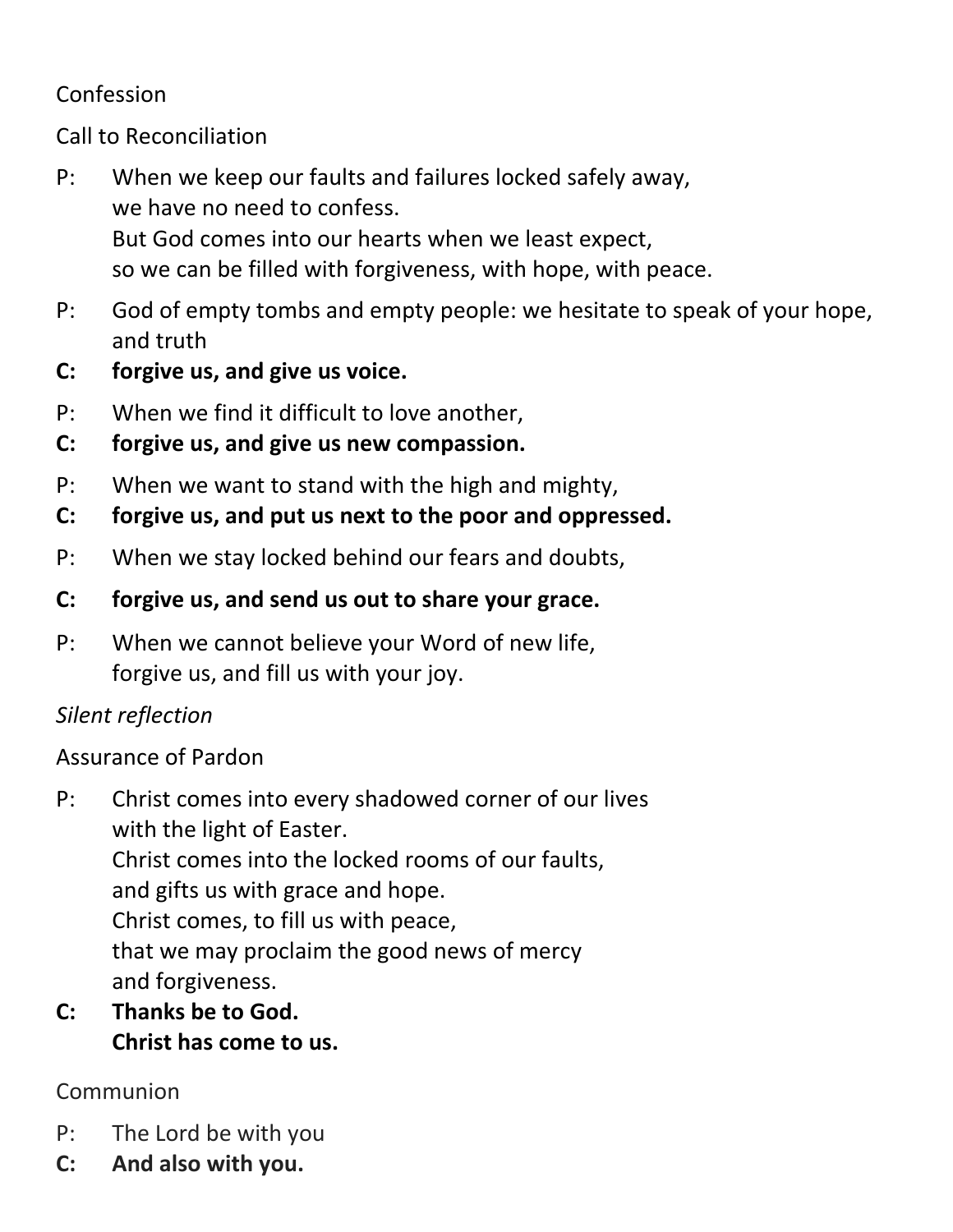#### Confession

## Call to Reconciliation

- P: When we keep our faults and failures locked safely away, we have no need to confess. But God comes into our hearts when we least expect, so we can be filled with forgiveness, with hope, with peace.
- P: God of empty tombs and empty people: we hesitate to speak of your hope, and truth
- **C: forgive us, and give us voice.**
- P: When we find it difficult to love another,
- **C: forgive us, and give us new compassion.**
- P: When we want to stand with the high and mighty,
- **C: forgive us, and put us next to the poor and oppressed.**
- P: When we stay locked behind our fears and doubts,
- **C: forgive us, and send us out to share your grace.**
- P: When we cannot believe your Word of new life, forgive us, and fill us with your joy.

## *Silent reflection*

## Assurance of Pardon

P: Christ comes into every shadowed corner of our lives with the light of Easter. Christ comes into the locked rooms of our faults, and gifts us with grace and hope. Christ comes, to fill us with peace, that we may proclaim the good news of mercy and forgiveness.

**C: Thanks be to God. Christ has come to us.**

## **Communion**

- P: The Lord be with you
- **C: And also with you.**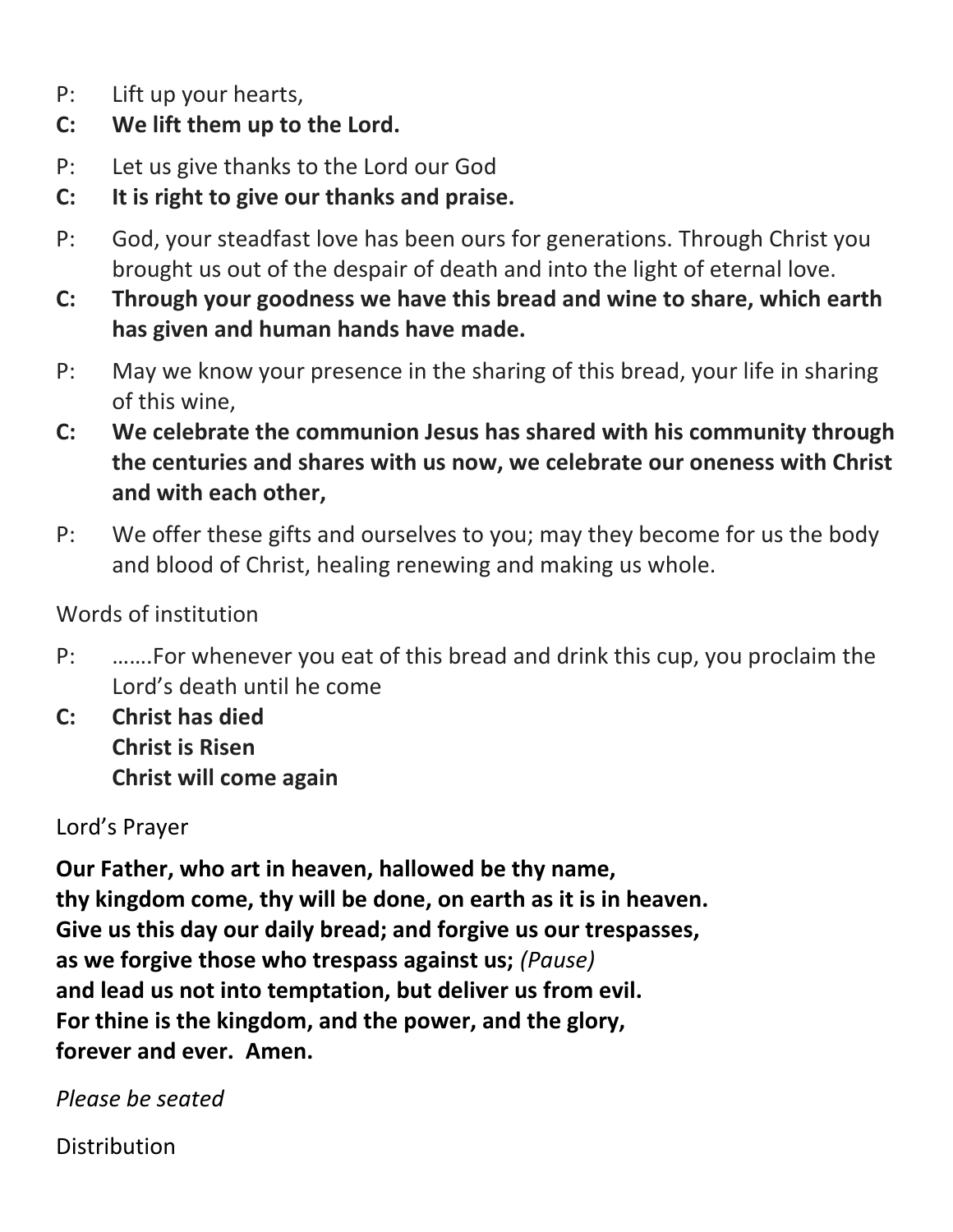- P: Lift up your hearts,
- **C: We lift them up to the Lord.**
- P: Let us give thanks to the Lord our God
- **C: It is right to give our thanks and praise.**
- P: God, your steadfast love has been ours for generations. Through Christ you brought us out of the despair of death and into the light of eternal love.
- **C: Through your goodness we have this bread and wine to share, which earth has given and human hands have made.**
- P: May we know your presence in the sharing of this bread, your life in sharing of this wine,
- **C: We celebrate the communion Jesus has shared with his community through the centuries and shares with us now, we celebrate our oneness with Christ and with each other,**
- P: We offer these gifts and ourselves to you; may they become for us the body and blood of Christ, healing renewing and making us whole.

Words of institution

- P: …….For whenever you eat of this bread and drink this cup, you proclaim the Lord's death until he come
- **C: Christ has died Christ is Risen Christ will come again**

Lord's Prayer

**Our Father, who art in heaven, hallowed be thy name, thy kingdom come, thy will be done, on earth as it is in heaven. Give us this day our daily bread; and forgive us our trespasses, as we forgive those who trespass against us;** *(Pause)* **and lead us not into temptation, but deliver us from evil. For thine is the kingdom, and the power, and the glory, forever and ever. Amen.**

*Please be seated*

**Distribution**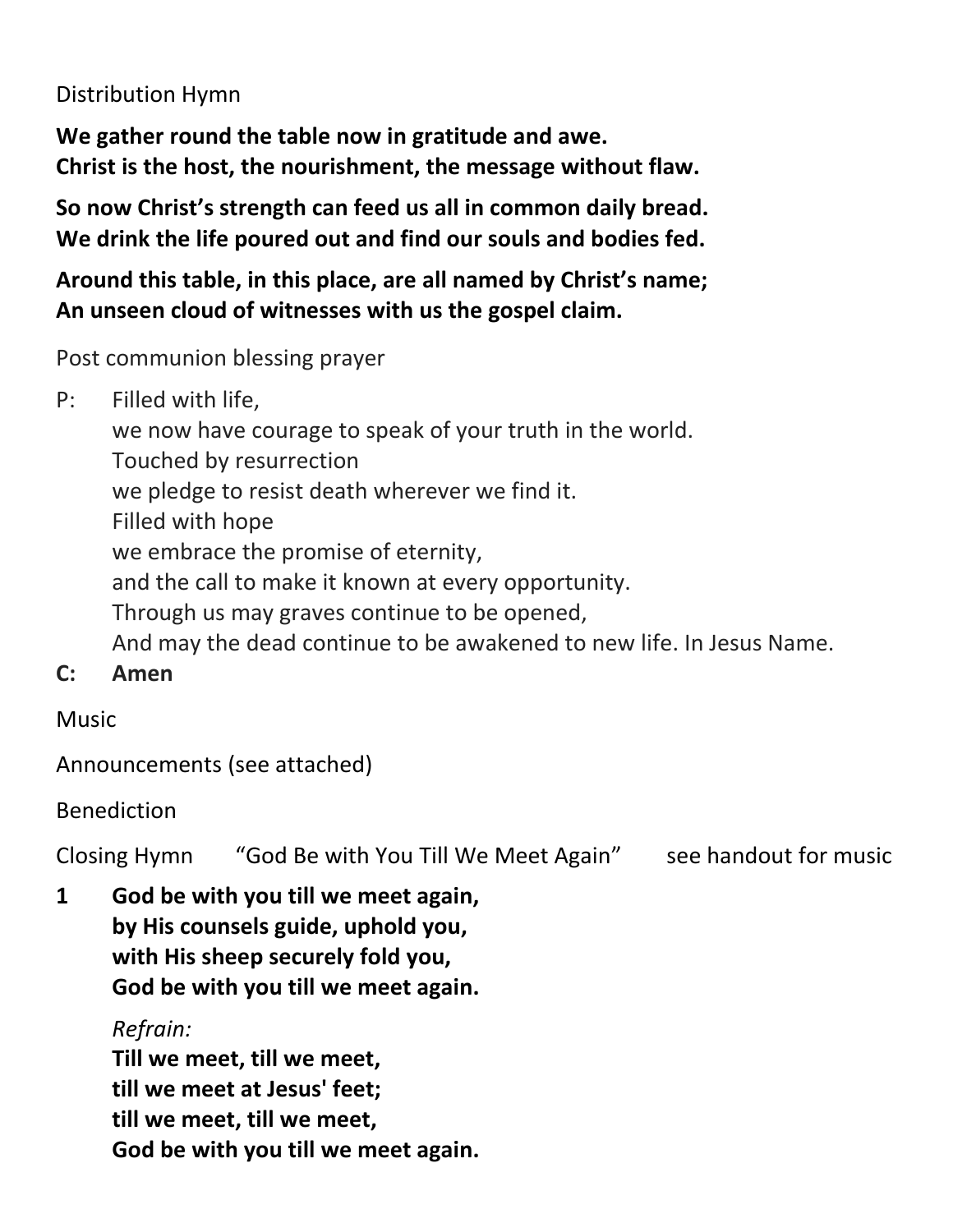#### Distribution Hymn

**We gather round the table now in gratitude and awe. Christ is the host, the nourishment, the message without flaw.**

**So now Christ's strength can feed us all in common daily bread. We drink the life poured out and find our souls and bodies fed.**

#### **Around this table, in this place, are all named by Christ's name; An unseen cloud of witnesses with us the gospel claim.**

Post communion blessing prayer

P: Filled with life,

we now have courage to speak of your truth in the world. Touched by resurrection we pledge to resist death wherever we find it. Filled with hope we embrace the promise of eternity, and the call to make it known at every opportunity. Through us may graves continue to be opened, And may the dead continue to be awakened to new life. In Jesus Name.

**C: Amen**

Music

Announcements (see attached)

Benediction

Closing Hymn "God Be with You Till We Meet Again" see handout for music

**1 God be with you till we meet again, by His counsels guide, uphold you, with His sheep securely fold you, God be with you till we meet again.**

> *Refrain:* **Till we meet, till we meet, till we meet at Jesus' feet; till we meet, till we meet, God be with you till we meet again.**